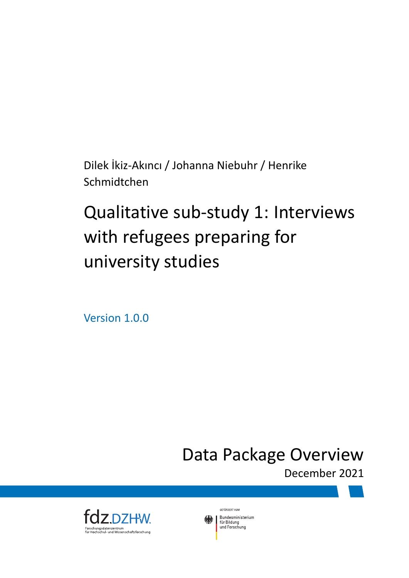Dilek İkiz-Akıncı / Johanna Niebuhr / Henrike Schmidtchen

## Qualitative sub-study 1: Interviews with refugees preparing for university studies

Version 1.0.0

Data Package Overview

December 2021



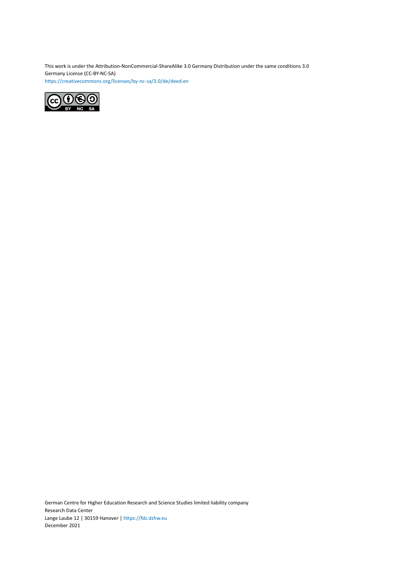This work is under the Attribution-NonCommercial-ShareAlike 3.0 Germany Distribution under the same conditions 3.0 Germany License (CC-BY-NC-SA) <https://creativecommons.org/licenses/by-nc-sa/3.0/de/deed.en>



German Centre for Higher Education Research and Science Studies limited liability company Research Data Center Lange Laube 12 | 30159 Hanover | <https://fdz.dzhw.eu> December 2021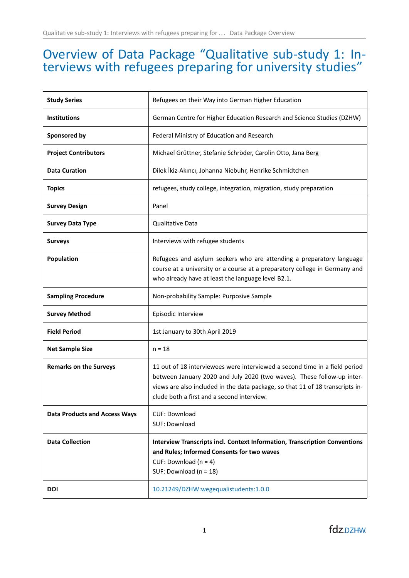## Overview of Data Package "Qualitative sub-study 1: Interviews with refugees preparing for university studies"

| <b>Study Series</b>                  | Refugees on their Way into German Higher Education                                                                                                                                                                                                                                  |
|--------------------------------------|-------------------------------------------------------------------------------------------------------------------------------------------------------------------------------------------------------------------------------------------------------------------------------------|
| <b>Institutions</b>                  | German Centre for Higher Education Research and Science Studies (DZHW)                                                                                                                                                                                                              |
| Sponsored by                         | Federal Ministry of Education and Research                                                                                                                                                                                                                                          |
| <b>Project Contributors</b>          | Michael Grüttner, Stefanie Schröder, Carolin Otto, Jana Berg                                                                                                                                                                                                                        |
| <b>Data Curation</b>                 | Dilek İkiz-Akıncı, Johanna Niebuhr, Henrike Schmidtchen                                                                                                                                                                                                                             |
| <b>Topics</b>                        | refugees, study college, integration, migration, study preparation                                                                                                                                                                                                                  |
| <b>Survey Design</b>                 | Panel                                                                                                                                                                                                                                                                               |
| <b>Survey Data Type</b>              | Qualitative Data                                                                                                                                                                                                                                                                    |
| <b>Surveys</b>                       | Interviews with refugee students                                                                                                                                                                                                                                                    |
| <b>Population</b>                    | Refugees and asylum seekers who are attending a preparatory language<br>course at a university or a course at a preparatory college in Germany and<br>who already have at least the language level B2.1.                                                                            |
| <b>Sampling Procedure</b>            | Non-probability Sample: Purposive Sample                                                                                                                                                                                                                                            |
| <b>Survey Method</b>                 | Episodic Interview                                                                                                                                                                                                                                                                  |
| <b>Field Period</b>                  | 1st January to 30th April 2019                                                                                                                                                                                                                                                      |
| <b>Net Sample Size</b>               | $n = 18$                                                                                                                                                                                                                                                                            |
| <b>Remarks on the Surveys</b>        | 11 out of 18 interviewees were interviewed a second time in a field period<br>between January 2020 and July 2020 (two waves). These follow-up inter-<br>views are also included in the data package, so that 11 of 18 transcripts in-<br>clude both a first and a second interview. |
| <b>Data Products and Access Ways</b> | <b>CUF: Download</b><br>SUF: Download                                                                                                                                                                                                                                               |
| <b>Data Collection</b>               | <b>Interview Transcripts incl. Context Information, Transcription Conventions</b><br>and Rules; Informed Consents for two waves<br>CUF: Download ( $n = 4$ )<br>SUF: Download (n = 18)                                                                                              |
| <b>DOI</b>                           | 10.21249/DZHW:wegequalistudents:1.0.0                                                                                                                                                                                                                                               |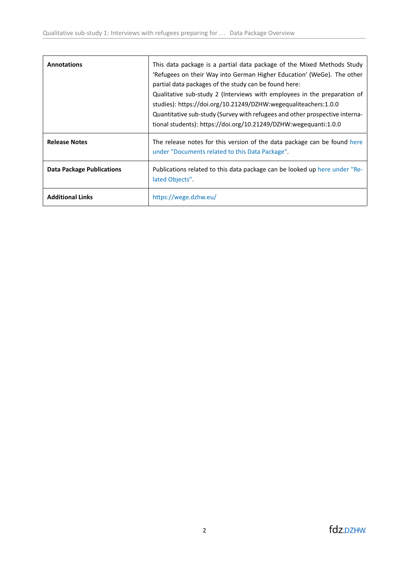| <b>Annotations</b>               | This data package is a partial data package of the Mixed Methods Study<br>'Refugees on their Way into German Higher Education' (WeGe). The other<br>partial data packages of the study can be found here:<br>Qualitative sub-study 2 (Interviews with employees in the preparation of<br>studies): https://doi.org/10.21249/DZHW:wegequaliteachers:1.0.0<br>Quantitative sub-study (Survey with refugees and other prospective interna-<br>tional students): https://doi.org/10.21249/DZHW:wegequanti:1.0.0 |
|----------------------------------|-------------------------------------------------------------------------------------------------------------------------------------------------------------------------------------------------------------------------------------------------------------------------------------------------------------------------------------------------------------------------------------------------------------------------------------------------------------------------------------------------------------|
| <b>Release Notes</b>             | The release notes for this version of the data package can be found here<br>under "Documents related to this Data Package".                                                                                                                                                                                                                                                                                                                                                                                 |
| <b>Data Package Publications</b> | Publications related to this data package can be looked up here under "Re-<br>lated Objects".                                                                                                                                                                                                                                                                                                                                                                                                               |
| <b>Additional Links</b>          | https://wege.dzhw.eu/                                                                                                                                                                                                                                                                                                                                                                                                                                                                                       |